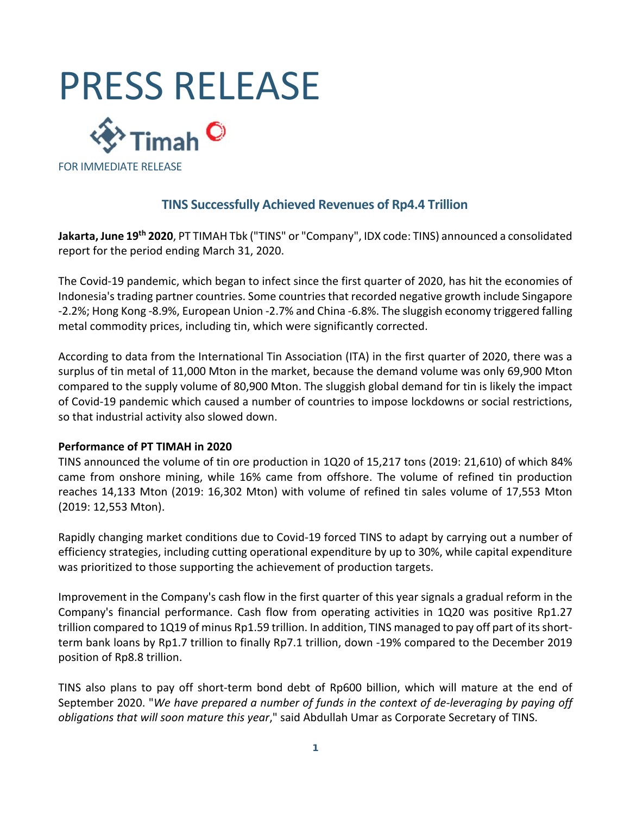



## **TINS Successfully Achieved Revenues of Rp4.4 Trillion**

**Jakarta, June 19th 2020**, PT TIMAH Tbk ("TINS" or "Company", IDX code: TINS) announced a consolidated report for the period ending March 31, 2020.

The Covid‐19 pandemic, which began to infect since the first quarter of 2020, has hit the economies of Indonesia's trading partner countries. Some countries that recorded negative growth include Singapore ‐2.2%; Hong Kong ‐8.9%, European Union ‐2.7% and China ‐6.8%. The sluggish economy triggered falling metal commodity prices, including tin, which were significantly corrected.

According to data from the International Tin Association (ITA) in the first quarter of 2020, there was a surplus of tin metal of 11,000 Mton in the market, because the demand volume was only 69,900 Mton compared to the supply volume of 80,900 Mton. The sluggish global demand for tin is likely the impact of Covid‐19 pandemic which caused a number of countries to impose lockdowns or social restrictions, so that industrial activity also slowed down.

#### **Performance of PT TIMAH in 2020**

TINS announced the volume of tin ore production in 1Q20 of 15,217 tons (2019: 21,610) of which 84% came from onshore mining, while 16% came from offshore. The volume of refined tin production reaches 14,133 Mton (2019: 16,302 Mton) with volume of refined tin sales volume of 17,553 Mton (2019: 12,553 Mton).

Rapidly changing market conditions due to Covid‐19 forced TINS to adapt by carrying out a number of efficiency strategies, including cutting operational expenditure by up to 30%, while capital expenditure was prioritized to those supporting the achievement of production targets.

Improvement in the Company's cash flow in the first quarter of this year signals a gradual reform in the Company's financial performance. Cash flow from operating activities in 1Q20 was positive Rp1.27 trillion compared to 1Q19 of minus Rp1.59 trillion. In addition, TINS managed to pay off part of its short‐ term bank loans by Rp1.7 trillion to finally Rp7.1 trillion, down ‐19% compared to the December 2019 position of Rp8.8 trillion.

TINS also plans to pay off short‐term bond debt of Rp600 billion, which will mature at the end of September 2020. "*We have prepared a number of funds in the context of de‐leveraging by paying off obligations that will soon mature this year*," said Abdullah Umar as Corporate Secretary of TINS.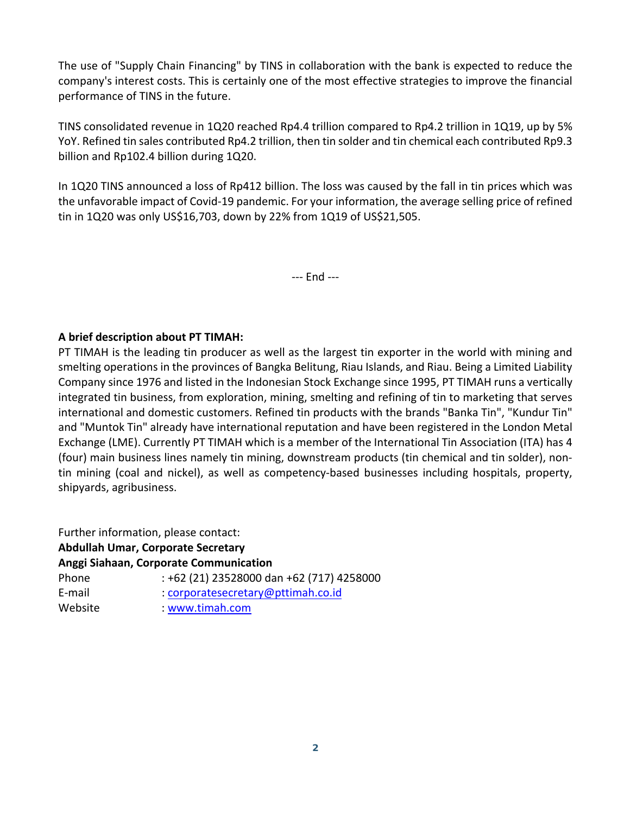The use of "Supply Chain Financing" by TINS in collaboration with the bank is expected to reduce the company's interest costs. This is certainly one of the most effective strategies to improve the financial performance of TINS in the future.

TINS consolidated revenue in 1Q20 reached Rp4.4 trillion compared to Rp4.2 trillion in 1Q19, up by 5% YoY. Refined tin sales contributed Rp4.2 trillion, then tin solder and tin chemical each contributed Rp9.3 billion and Rp102.4 billion during 1Q20.

In 1Q20 TINS announced a loss of Rp412 billion. The loss was caused by the fall in tin prices which was the unfavorable impact of Covid‐19 pandemic. For your information, the average selling price of refined tin in 1Q20 was only US\$16,703, down by 22% from 1Q19 of US\$21,505.

‐‐‐ End ‐‐‐

### **A brief description about PT TIMAH:**

PT TIMAH is the leading tin producer as well as the largest tin exporter in the world with mining and smelting operations in the provinces of Bangka Belitung, Riau Islands, and Riau. Being a Limited Liability Company since 1976 and listed in the Indonesian Stock Exchange since 1995, PT TIMAH runs a vertically integrated tin business, from exploration, mining, smelting and refining of tin to marketing that serves international and domestic customers. Refined tin products with the brands "Banka Tin", "Kundur Tin" and "Muntok Tin" already have international reputation and have been registered in the London Metal Exchange (LME). Currently PT TIMAH which is a member of the International Tin Association (ITA) has 4 (four) main business lines namely tin mining, downstream products (tin chemical and tin solder), non‐ tin mining (coal and nickel), as well as competency‐based businesses including hospitals, property, shipyards, agribusiness.

Further information, please contact: **Abdullah Umar, Corporate Secretary Anggi Siahaan, Corporate Communication** Phone : +62 (21) 23528000 dan +62 (717) 4258000 E-mail : corporatesecretary@pttimah.co.id Website : www.timah.com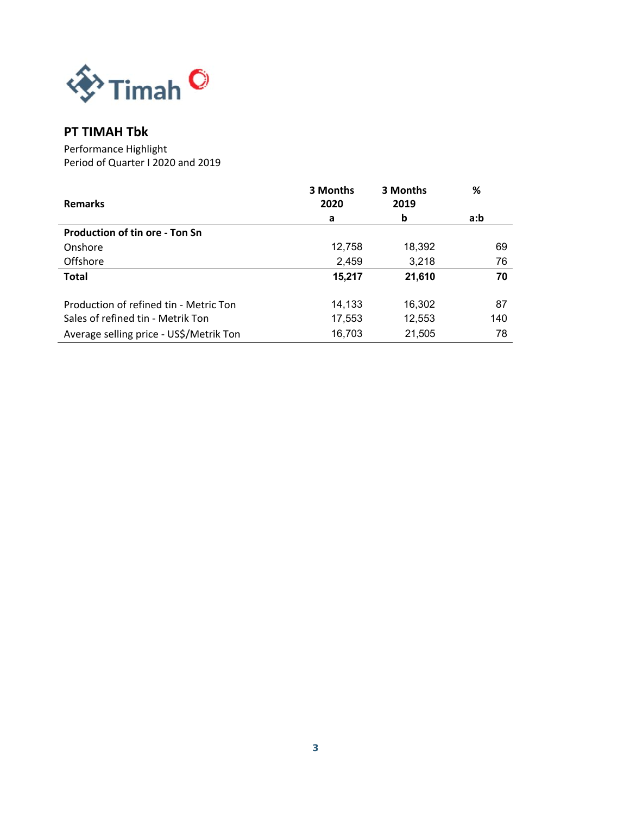

## **PT TIMAH Tbk**

Performance Highlight Period of Quarter I 2020 and 2019

|                                         | 3 Months | 3 Months | %   |
|-----------------------------------------|----------|----------|-----|
| <b>Remarks</b>                          | 2020     | 2019     |     |
|                                         | a        | b        | a:b |
| <b>Production of tin ore - Ton Sn</b>   |          |          |     |
| Onshore                                 | 12,758   | 18,392   | 69  |
| Offshore                                | 2,459    | 3,218    | 76  |
| <b>Total</b>                            | 15,217   | 21,610   | 70  |
|                                         |          |          |     |
| Production of refined tin - Metric Ton  | 14.133   | 16,302   | 87  |
| Sales of refined tin - Metrik Ton       | 17,553   | 12,553   | 140 |
| Average selling price - US\$/Metrik Ton | 16,703   | 21,505   | 78  |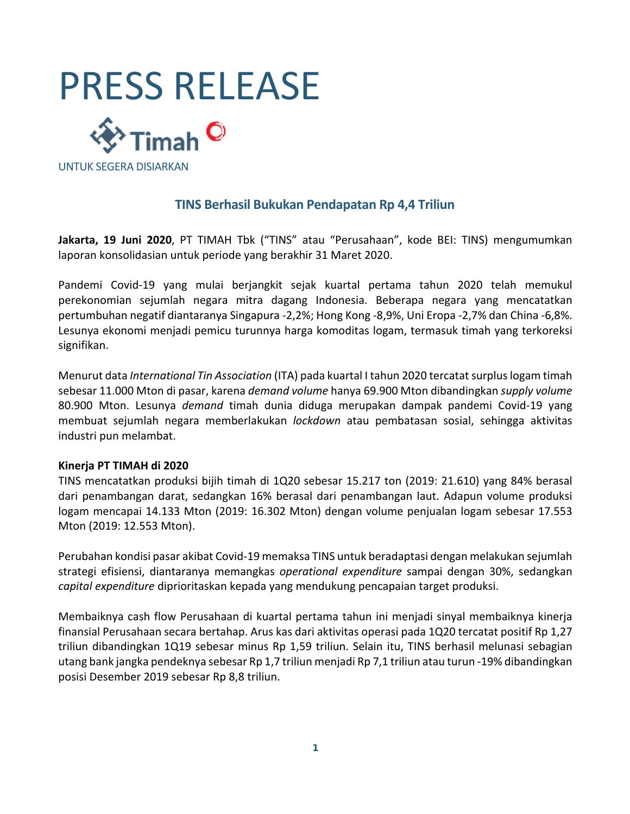



UNTUK SEGERA DISIARKAN

## **TINS Berhasil Bukukan Pendapatan Rp 4,4 Triliun**

**Jakarta, 19 Juni 2020**, PT TIMAH Tbk ("TINS" atau "Perusahaan", kode BEI: TINS) mengumumkan laporan konsolidasian untuk periode yang berakhir 31 Maret 2020.

Pandemi Covid‐19 yang mulai berjangkit sejak kuartal pertama tahun 2020 telah memukul perekonomian sejumlah negara mitra dagang Indonesia. Beberapa negara yang mencatatkan pertumbuhan negatif diantaranya Singapura ‐2,2%; Hong Kong ‐8,9%, Uni Eropa ‐2,7% dan China ‐6,8%. Lesunya ekonomi menjadi pemicu turunnya harga komoditas logam, termasuk timah yang terkoreksi signifikan.

Menurut data *International Tin Association* (ITA) pada kuartal I tahun 2020 tercatat surplus logam timah sebesar 11.000 Mton di pasar, karena *demand volume* hanya 69.900 Mton dibandingkan *supply volume* 80.900 Mton. Lesunya *demand* timah dunia diduga merupakan dampak pandemi Covid‐19 yang membuat sejumlah negara memberlakukan *lockdown* atau pembatasan sosial, sehingga aktivitas industri pun melambat.

#### **Kinerja PT TIMAH di 2020**

TINS mencatatkan produksi bijih timah di 1Q20 sebesar 15.217 ton (2019: 21.610) yang 84% berasal dari penambangan darat, sedangkan 16% berasal dari penambangan laut. Adapun volume produksi logam mencapai 14.133 Mton (2019: 16.302 Mton) dengan volume penjualan logam sebesar 17.553 Mton (2019: 12.553 Mton).

Perubahan kondisi pasar akibat Covid‐19 memaksa TINS untuk beradaptasi dengan melakukan sejumlah strategi efisiensi, diantaranya memangkas *operational expenditure* sampai dengan 30%, sedangkan *capital expenditure* diprioritaskan kepada yang mendukung pencapaian target produksi.

Membaiknya cash flow Perusahaan di kuartal pertama tahun ini menjadi sinyal membaiknya kinerja finansial Perusahaan secara bertahap. Arus kas dari aktivitas operasi pada 1Q20 tercatat positif Rp 1,27 triliun dibandingkan 1Q19 sebesar minus Rp 1,59 triliun. Selain itu, TINS berhasil melunasi sebagian utang bank jangka pendeknya sebesar Rp 1,7 triliun menjadi Rp 7,1 triliun atau turun ‐19% dibandingkan posisi Desember 2019 sebesar Rp 8,8 triliun.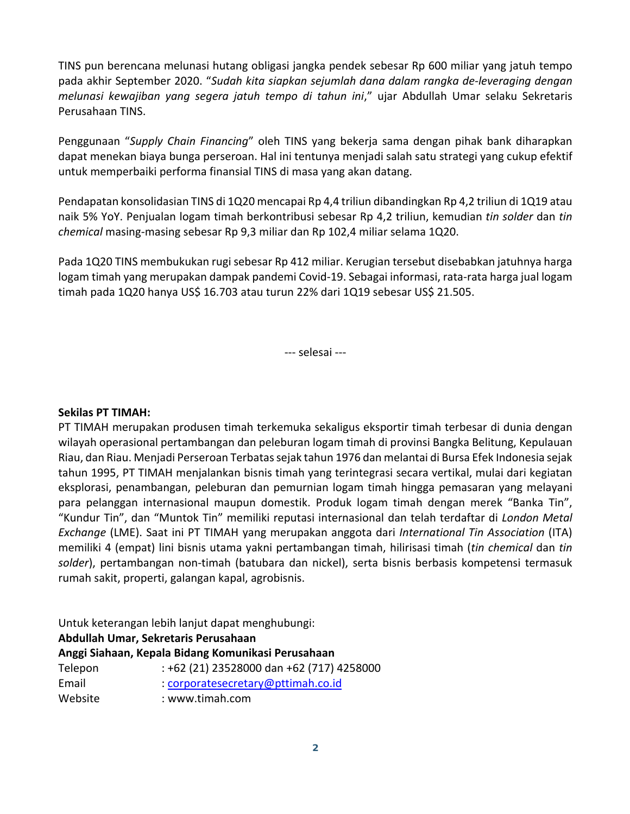TINS pun berencana melunasi hutang obligasi jangka pendek sebesar Rp 600 miliar yang jatuh tempo pada akhir September 2020. "*Sudah kita siapkan sejumlah dana dalam rangka de‐leveraging dengan melunasi kewajiban yang segera jatuh tempo di tahun ini*," ujar Abdullah Umar selaku Sekretaris Perusahaan TINS.

Penggunaan "Supply Chain Financing" oleh TINS yang bekerja sama dengan pihak bank diharapkan dapat menekan biaya bunga perseroan. Hal ini tentunya menjadi salah satu strategi yang cukup efektif untuk memperbaiki performa finansial TINS di masa yang akan datang.

Pendapatan konsolidasian TINS di 1Q20 mencapai Rp 4,4 triliun dibandingkan Rp 4,2 triliun di 1Q19 atau naik 5% YoY. Penjualan logam timah berkontribusi sebesar Rp 4,2 triliun, kemudian *tin solder* dan *tin chemical* masing‐masing sebesar Rp 9,3 miliar dan Rp 102,4 miliar selama 1Q20.

Pada 1Q20 TINS membukukan rugi sebesar Rp 412 miliar. Kerugian tersebut disebabkan jatuhnya harga logam timah yang merupakan dampak pandemi Covid‐19. Sebagai informasi, rata‐rata harga jual logam timah pada 1Q20 hanya US\$ 16.703 atau turun 22% dari 1Q19 sebesar US\$ 21.505.

‐‐‐ selesai ‐‐‐

#### **Sekilas PT TIMAH:**

PT TIMAH merupakan produsen timah terkemuka sekaligus eksportir timah terbesar di dunia dengan wilayah operasional pertambangan dan peleburan logam timah di provinsi Bangka Belitung, Kepulauan Riau, dan Riau. Menjadi Perseroan Terbatas sejak tahun 1976 dan melantai di Bursa Efek Indonesia sejak tahun 1995, PT TIMAH menjalankan bisnis timah yang terintegrasi secara vertikal, mulai dari kegiatan eksplorasi, penambangan, peleburan dan pemurnian logam timah hingga pemasaran yang melayani para pelanggan internasional maupun domestik. Produk logam timah dengan merek "Banka Tin", "Kundur Tin", dan "Muntok Tin" memiliki reputasi internasional dan telah terdaftar di *London Metal Exchange* (LME). Saat ini PT TIMAH yang merupakan anggota dari *International Tin Association* (ITA) memiliki 4 (empat) lini bisnis utama yakni pertambangan timah, hilirisasi timah (*tin chemical* dan *tin*  solder), pertambangan non-timah (batubara dan nickel), serta bisnis berbasis kompetensi termasuk rumah sakit, properti, galangan kapal, agrobisnis.

Untuk keterangan lebih lanjut dapat menghubungi: **Abdullah Umar, Sekretaris Perusahaan Anggi Siahaan, Kepala Bidang Komunikasi Perusahaan**

| Anggi Siahaan, Kepala Bidang Komunikasi Perusahaan |                                           |  |  |  |
|----------------------------------------------------|-------------------------------------------|--|--|--|
| Telepon                                            | : +62 (21) 23528000 dan +62 (717) 4258000 |  |  |  |
| Email                                              | : corporatesecretary@pttimah.co.id        |  |  |  |
| Website                                            | : www.timah.com                           |  |  |  |